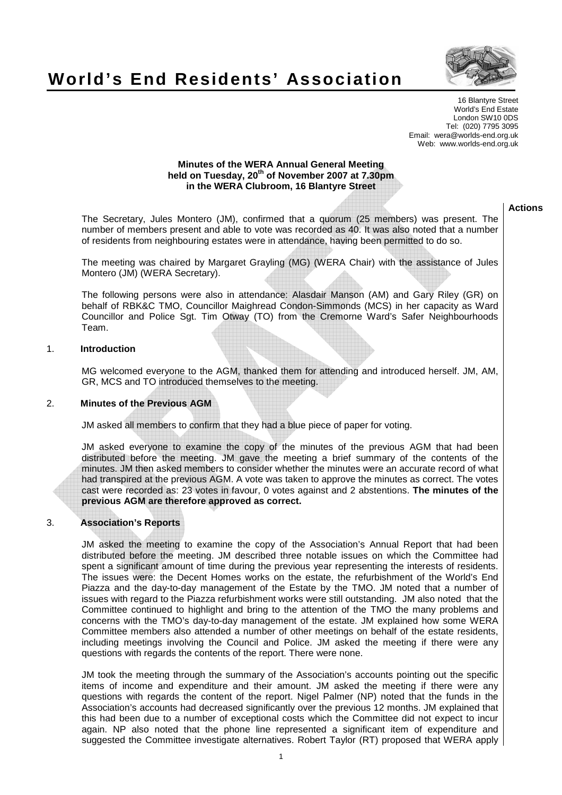# **World's End Residents' Association**



16 Blantyre Street World's End Estate London SW10 0DS Tel: (020) 7795 3095 Email: wera@worlds-end.org.uk Web: www.worlds-end.org.uk

## **Minutes of the WERA Annual General Meeting held on Tuesday, 20th of November 2007 at 7.30pm in the WERA Clubroom, 16 Blantyre Street**

The Secretary, Jules Montero (JM), confirmed that a quorum (25 members) was present. The number of members present and able to vote was recorded as 40. It was also noted that a number of residents from neighbouring estates were in attendance, having been permitted to do so.

The meeting was chaired by Margaret Grayling (MG) (WERA Chair) with the assistance of Jules Montero (JM) (WERA Secretary).

The following persons were also in attendance: Alasdair Manson (AM) and Gary Riley (GR) on behalf of RBK&C TMO, Councillor Maighread Condon-Simmonds (MCS) in her capacity as Ward Councillor and Police Sgt. Tim Otway (TO) from the Cremorne Ward's Safer Neighbourhoods Team.

# 1. **Introduction**

MG welcomed everyone to the AGM, thanked them for attending and introduced herself. JM, AM, GR, MCS and TO introduced themselves to the meeting.

# 2. **Minutes of the Previous AGM**

JM asked all members to confirm that they had a blue piece of paper for voting.

JM asked everyone to examine the copy of the minutes of the previous AGM that had been distributed before the meeting. JM gave the meeting a brief summary of the contents of the minutes. JM then asked members to consider whether the minutes were an accurate record of what had transpired at the previous AGM. A vote was taken to approve the minutes as correct. The votes cast were recorded as: 23 votes in favour, 0 votes against and 2 abstentions. **The minutes of the previous AGM are therefore approved as correct.** 

# 3. **Association's Reports**

JM asked the meeting to examine the copy of the Association's Annual Report that had been distributed before the meeting. JM described three notable issues on which the Committee had spent a significant amount of time during the previous year representing the interests of residents. The issues were: the Decent Homes works on the estate, the refurbishment of the World's End Piazza and the day-to-day management of the Estate by the TMO. JM noted that a number of issues with regard to the Piazza refurbishment works were still outstanding. JM also noted that the Committee continued to highlight and bring to the attention of the TMO the many problems and concerns with the TMO's day-to-day management of the estate. JM explained how some WERA Committee members also attended a number of other meetings on behalf of the estate residents, including meetings involving the Council and Police. JM asked the meeting if there were any questions with regards the contents of the report. There were none.

JM took the meeting through the summary of the Association's accounts pointing out the specific items of income and expenditure and their amount. JM asked the meeting if there were any questions with regards the content of the report. Nigel Palmer (NP) noted that the funds in the Association's accounts had decreased significantly over the previous 12 months. JM explained that this had been due to a number of exceptional costs which the Committee did not expect to incur again. NP also noted that the phone line represented a significant item of expenditure and suggested the Committee investigate alternatives. Robert Taylor (RT) proposed that WERA apply

#### **Actions**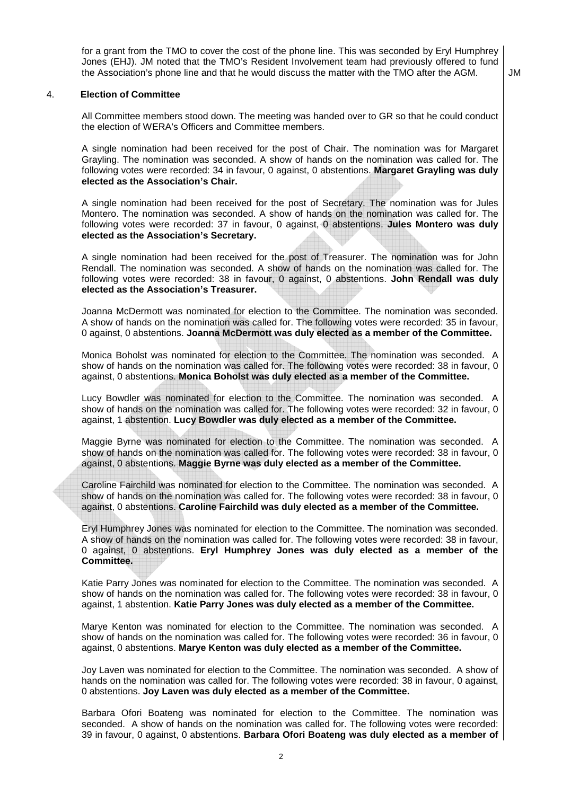for a grant from the TMO to cover the cost of the phone line. This was seconded by Eryl Humphrey Jones (EHJ). JM noted that the TMO's Resident Involvement team had previously offered to fund the Association's phone line and that he would discuss the matter with the TMO after the AGM.  $\Box$  JM

#### 4. **Election of Committee**

All Committee members stood down. The meeting was handed over to GR so that he could conduct the election of WERA's Officers and Committee members.

A single nomination had been received for the post of Chair. The nomination was for Margaret Grayling. The nomination was seconded. A show of hands on the nomination was called for. The following votes were recorded: 34 in favour, 0 against, 0 abstentions. **Margaret Grayling was duly elected as the Association's Chair.** 

A single nomination had been received for the post of Secretary. The nomination was for Jules Montero. The nomination was seconded. A show of hands on the nomination was called for. The following votes were recorded: 37 in favour, 0 against, 0 abstentions. **Jules Montero was duly elected as the Association's Secretary.** 

A single nomination had been received for the post of Treasurer. The nomination was for John Rendall. The nomination was seconded. A show of hands on the nomination was called for. The following votes were recorded: 38 in favour, 0 against, 0 abstentions. **John Rendall was duly elected as the Association's Treasurer.** 

Joanna McDermott was nominated for election to the Committee. The nomination was seconded. A show of hands on the nomination was called for. The following votes were recorded: 35 in favour, 0 against, 0 abstentions. **Joanna McDermott was duly elected as a member of the Committee.** 

Monica Boholst was nominated for election to the Committee. The nomination was seconded. A show of hands on the nomination was called for. The following votes were recorded: 38 in favour, 0 against, 0 abstentions. **Monica Boholst was duly elected as a member of the Committee.**

Lucy Bowdler was nominated for election to the Committee. The nomination was seconded. A show of hands on the nomination was called for. The following votes were recorded: 32 in favour, 0 against, 1 abstention. **Lucy Bowdler was duly elected as a member of the Committee.**

Maggie Byrne was nominated for election to the Committee. The nomination was seconded. A show of hands on the nomination was called for. The following votes were recorded: 38 in favour, 0 against, 0 abstentions. **Maggie Byrne was duly elected as a member of the Committee.**

Caroline Fairchild was nominated for election to the Committee. The nomination was seconded. A show of hands on the nomination was called for. The following votes were recorded: 38 in favour, 0 against, 0 abstentions. **Caroline Fairchild was duly elected as a member of the Committee.**

Eryl Humphrey Jones was nominated for election to the Committee. The nomination was seconded. A show of hands on the nomination was called for. The following votes were recorded: 38 in favour, 0 against, 0 abstentions. **Eryl Humphrey Jones was duly elected as a member of the Committee.**

Katie Parry Jones was nominated for election to the Committee. The nomination was seconded. A show of hands on the nomination was called for. The following votes were recorded: 38 in favour, 0 against, 1 abstention. **Katie Parry Jones was duly elected as a member of the Committee.** 

Marye Kenton was nominated for election to the Committee. The nomination was seconded. A show of hands on the nomination was called for. The following votes were recorded: 36 in favour, 0 against, 0 abstentions. **Marye Kenton was duly elected as a member of the Committee.**

Joy Laven was nominated for election to the Committee. The nomination was seconded. A show of hands on the nomination was called for. The following votes were recorded: 38 in favour, 0 against, 0 abstentions. **Joy Laven was duly elected as a member of the Committee.**

Barbara Ofori Boateng was nominated for election to the Committee. The nomination was seconded. A show of hands on the nomination was called for. The following votes were recorded: 39 in favour, 0 against, 0 abstentions. **Barbara Ofori Boateng was duly elected as a member of**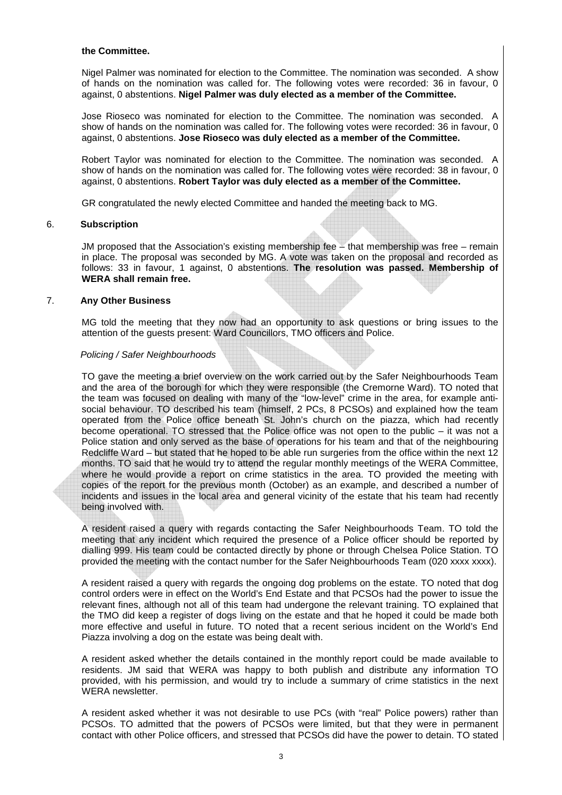#### **the Committee.**

Nigel Palmer was nominated for election to the Committee. The nomination was seconded. A show of hands on the nomination was called for. The following votes were recorded: 36 in favour, 0 against, 0 abstentions. **Nigel Palmer was duly elected as a member of the Committee.** 

Jose Rioseco was nominated for election to the Committee. The nomination was seconded. A show of hands on the nomination was called for. The following votes were recorded: 36 in favour, 0 against, 0 abstentions. **Jose Rioseco was duly elected as a member of the Committee.**

Robert Taylor was nominated for election to the Committee. The nomination was seconded. A show of hands on the nomination was called for. The following votes were recorded: 38 in favour, 0 against, 0 abstentions. **Robert Taylor was duly elected as a member of the Committee.**

GR congratulated the newly elected Committee and handed the meeting back to MG.

### 6. **Subscription**

JM proposed that the Association's existing membership fee – that membership was free – remain in place. The proposal was seconded by MG. A vote was taken on the proposal and recorded as follows: 33 in favour, 1 against, 0 abstentions. **The resolution was passed. Membership of WERA shall remain free.** 

## 7. **Any Other Business**

MG told the meeting that they now had an opportunity to ask questions or bring issues to the attention of the guests present: Ward Councillors, TMO officers and Police.

## Policing / Safer Neighbourhoods

TO gave the meeting a brief overview on the work carried out by the Safer Neighbourhoods Team and the area of the borough for which they were responsible (the Cremorne Ward). TO noted that the team was focused on dealing with many of the "low-level" crime in the area, for example antisocial behaviour. TO described his team (himself, 2 PCs, 8 PCSOs) and explained how the team operated from the Police office beneath St. John's church on the piazza, which had recently become operational. TO stressed that the Police office was not open to the public – it was not a Police station and only served as the base of operations for his team and that of the neighbouring Redcliffe Ward – but stated that he hoped to be able run surgeries from the office within the next 12 months. TO said that he would try to attend the regular monthly meetings of the WERA Committee, where he would provide a report on crime statistics in the area. TO provided the meeting with copies of the report for the previous month (October) as an example, and described a number of incidents and issues in the local area and general vicinity of the estate that his team had recently being involved with.

A resident raised a query with regards contacting the Safer Neighbourhoods Team. TO told the meeting that any incident which required the presence of a Police officer should be reported by dialling 999. His team could be contacted directly by phone or through Chelsea Police Station. TO provided the meeting with the contact number for the Safer Neighbourhoods Team (020 xxxx xxxx).

A resident raised a query with regards the ongoing dog problems on the estate. TO noted that dog control orders were in effect on the World's End Estate and that PCSOs had the power to issue the relevant fines, although not all of this team had undergone the relevant training. TO explained that the TMO did keep a register of dogs living on the estate and that he hoped it could be made both more effective and useful in future. TO noted that a recent serious incident on the World's End Piazza involving a dog on the estate was being dealt with.

A resident asked whether the details contained in the monthly report could be made available to residents. JM said that WERA was happy to both publish and distribute any information TO provided, with his permission, and would try to include a summary of crime statistics in the next WERA newsletter.

A resident asked whether it was not desirable to use PCs (with "real" Police powers) rather than PCSOs. TO admitted that the powers of PCSOs were limited, but that they were in permanent contact with other Police officers, and stressed that PCSOs did have the power to detain. TO stated